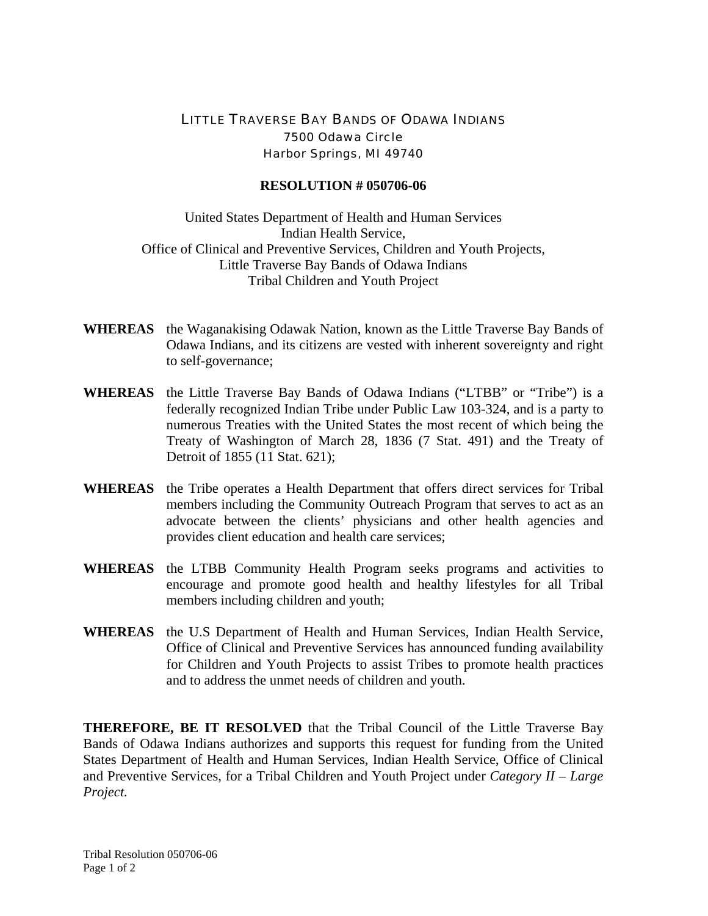## LITTLE TRAVERSE BAY BANDS OF ODAWA INDIANS 7500 Odawa Circle Harbor Springs, MI 49740

## **RESOLUTION # 050706-06**

United States Department of Health and Human Services Indian Health Service, Office of Clinical and Preventive Services, Children and Youth Projects, Little Traverse Bay Bands of Odawa Indians Tribal Children and Youth Project

- **WHEREAS** the Waganakising Odawak Nation, known as the Little Traverse Bay Bands of Odawa Indians, and its citizens are vested with inherent sovereignty and right to self-governance;
- **WHEREAS** the Little Traverse Bay Bands of Odawa Indians ("LTBB" or "Tribe") is a federally recognized Indian Tribe under Public Law 103-324, and is a party to numerous Treaties with the United States the most recent of which being the Treaty of Washington of March 28, 1836 (7 Stat. 491) and the Treaty of Detroit of 1855 (11 Stat. 621);
- **WHEREAS** the Tribe operates a Health Department that offers direct services for Tribal members including the Community Outreach Program that serves to act as an advocate between the clients' physicians and other health agencies and provides client education and health care services;
- **WHEREAS** the LTBB Community Health Program seeks programs and activities to encourage and promote good health and healthy lifestyles for all Tribal members including children and youth;
- **WHEREAS** the U.S Department of Health and Human Services, Indian Health Service, Office of Clinical and Preventive Services has announced funding availability for Children and Youth Projects to assist Tribes to promote health practices and to address the unmet needs of children and youth.

**THEREFORE, BE IT RESOLVED** that the Tribal Council of the Little Traverse Bay Bands of Odawa Indians authorizes and supports this request for funding from the United States Department of Health and Human Services, Indian Health Service, Office of Clinical and Preventive Services, for a Tribal Children and Youth Project under *Category II – Large Project.*